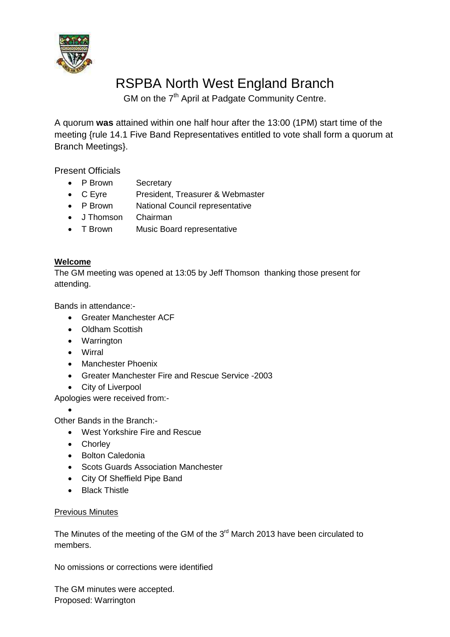

# RSPBA North West England Branch

GM on the 7<sup>th</sup> April at Padgate Community Centre.

A quorum **was** attained within one half hour after the 13:00 (1PM) start time of the meeting {rule 14.1 Five Band Representatives entitled to vote shall form a quorum at Branch Meetings}.

Present Officials

- P Brown Secretary
- C Eyre President, Treasurer & Webmaster
- P Brown National Council representative
- J Thomson Chairman
- T Brown Music Board representative

## **Welcome**

The GM meeting was opened at 13:05 by Jeff Thomson thanking those present for attending.

Bands in attendance:-

- Greater Manchester ACF
- Oldham Scottish
- Warrington
- Wirral
- Manchester Phoenix
- Greater Manchester Fire and Rescue Service -2003
- City of Liverpool

Apologies were received from:-

 $\bullet$ Other Bands in the Branch:-

- West Yorkshire Fire and Rescue
- Chorley
- Bolton Caledonia
- Scots Guards Association Manchester
- City Of Sheffield Pipe Band
- Black Thistle

# Previous Minutes

The Minutes of the meeting of the GM of the  $3<sup>rd</sup>$  March 2013 have been circulated to members.

No omissions or corrections were identified

The GM minutes were accepted. Proposed: Warrington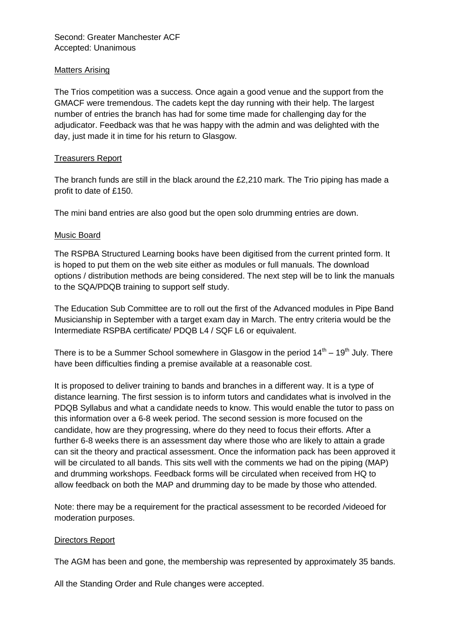Second: Greater Manchester ACF Accepted: Unanimous

#### **Matters Arising**

The Trios competition was a success. Once again a good venue and the support from the GMACF were tremendous. The cadets kept the day running with their help. The largest number of entries the branch has had for some time made for challenging day for the adjudicator. Feedback was that he was happy with the admin and was delighted with the day, just made it in time for his return to Glasgow.

#### Treasurers Report

The branch funds are still in the black around the £2,210 mark. The Trio piping has made a profit to date of £150.

The mini band entries are also good but the open solo drumming entries are down.

#### Music Board

The RSPBA Structured Learning books have been digitised from the current printed form. It is hoped to put them on the web site either as modules or full manuals. The download options / distribution methods are being considered. The next step will be to link the manuals to the SQA/PDQB training to support self study.

The Education Sub Committee are to roll out the first of the Advanced modules in Pipe Band Musicianship in September with a target exam day in March. The entry criteria would be the Intermediate RSPBA certificate/ PDQB L4 / SQF L6 or equivalent.

There is to be a Summer School somewhere in Glasgow in the period  $14<sup>th</sup> - 19<sup>th</sup>$  July. There have been difficulties finding a premise available at a reasonable cost.

It is proposed to deliver training to bands and branches in a different way. It is a type of distance learning. The first session is to inform tutors and candidates what is involved in the PDQB Syllabus and what a candidate needs to know. This would enable the tutor to pass on this information over a 6-8 week period. The second session is more focused on the candidate, how are they progressing, where do they need to focus their efforts. After a further 6-8 weeks there is an assessment day where those who are likely to attain a grade can sit the theory and practical assessment. Once the information pack has been approved it will be circulated to all bands. This sits well with the comments we had on the piping (MAP) and drumming workshops. Feedback forms will be circulated when received from HQ to allow feedback on both the MAP and drumming day to be made by those who attended.

Note: there may be a requirement for the practical assessment to be recorded /videoed for moderation purposes.

#### Directors Report

The AGM has been and gone, the membership was represented by approximately 35 bands.

All the Standing Order and Rule changes were accepted.